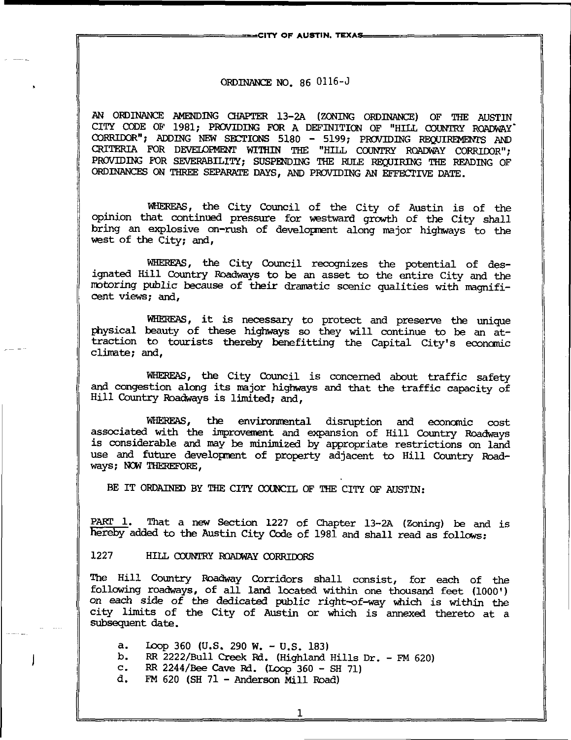### ORDINANCE NO. 86 0116-J

AN ORDINANCE AMENDING CHAPTER 13-2A (ZONING ORDINANCE) OF THE AUSTIN CITY CODE OP 1981; PROVIDING FOR A DEFINITION OF "HILL COUNTRY ROADWAY' CORRIDOR"; ADDING NEW SECTIONS 5180 - 5199; PROVIDING REQUIREMENTS AND CRITERIA FOR DEVELOPMENT WITHIN THE "HILL COUNTRY ROADWAY CORRIDOR": PROVIDING FOR SEVERABILITY; SUSPENDING THE RULE REQUIRING THE READING OF ORDINANCES ON THREE SEPARATE DAYS, AND PROVIDING AN EFFECTIVE DATE.

WHEREAS, the City Council of the City of Austin is of the opinion that continued pressure for westward growth of the City shall bring an explosive on-rush of development along major highways to the west of the City; and,

WHEREAS, the City Council recognizes the potential of designated Hill Country Roadways to be an asset to the entire City and the motoring public because of their dramatic scenic qualities with magnificent views; and,

WHEREAS, it is necessary to protect and preserve the unique physical beauty of these highways so they will continue to be an attraction to tourists thereby benefitting the Capital City's economic climate; and,

WHEREAS, the City Council is concerned about traffic safety and congestion along its major highways and that the traffic capacity of Hill Country Roadways is limited; and,

WHEREAS, the environmental disruption and economic cost associated with the improvement and expansion of Hill Country Roadways is considerable and may be minimized by appropriate restrictions on land use and future development of property adjacent to Hill Country Roadways; NOW THEREFORE,

BE IT ORDAINED BY THE CITY COUNCIL OF THE CITY OF AUSTIN:

PART 1. That a new Section 1227 of Chapter 13-2A (Zoning) be and is hereby added to the Austin City Code of 1981 and shall read as follows:

1227 HILL COUNTRY ROADWAY CORRIDORS

The Hill Country Roadway Corridors shall consist, for each of the following roadways, of all land located within one thousand feet (1000') on each side of the dedicated public right-of-way which is within the city limits of the City of Austin or which is annexed thereto at a subsequent date.

a. Loop 360  $(U.S. 290 W. - U.S. 183)$ <br>b. RR 2222/Bull Creek Rd. (Highland)

- b. RR 2222/Bull Creek Rd. (Highland Hills Dr, FM 620)
- c. RR 2244/Bee Cave Rd. (Loop 360 SH 71)<br>d. FM 620 (SH 71 Anderson Mill Road)
- $FM 620$  (SH  $71 Anderson Mill Road)$ 
	- $\mathbf{1}$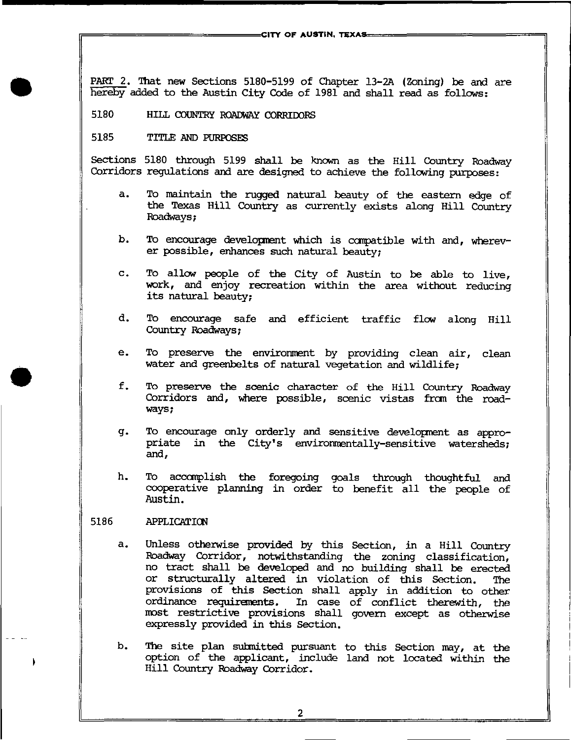PART 2. That new Sections 5180-5199 of Chapter 13-2A (Zoning) be and are hereby added to the Austin City Code of 1981 and shall read as follows:

5180 HILL COUNTRY ROADWAY CORRIDORS

## 5185 TITLE AND PURPOSES

Sections 5180 through 5199 shall be known as the Hill Country Roadway Corridors regulations and are designed to achieve the following purposes:

- a. To maintain the rugged natural beauty of the eastern edge of the Texas Hill Country as currently exists along Hill Country Roadways;
- b. To encourage development which is compatible with and, wherever possible, enhances such natural beauty;
- c. To allow people of the City of Austin to be able to live, work, and enjoy recreation within the area without reducing its natural beauty;
- d. To encourage safe and efficient traffic flow along Hill Country Roadways;
- e. To preserve the environment by providing clean air, clean water and greenbelts of natural vegetation and wildlife;
- f. To preserve the scenic character of the Hill Country Roadway Corridors and, where possible, scenic vistas from the roadways;
- To encourage only orderly and sensitive development as approq. priate in the City's environmentally-sensitive watersheds; and,
- h. To accomplish the foregoing goals through thoughtful and cooperative planning in order to benefit all the people of Austin.

#### 5186 APPLICATION

- Unless otherwise provided by this Section, in a Hill Country a. Roadway Corridor, notwithstanding the zoning classification, no tract shall be developed and no building shall be erected or structurally altered in violation of this Section. The provisions of this Section shall apply in addition to other ordinance requirements. In case of conflict therewith, the most restrictive provisions shall govern except as otherwise expressly provided in this Section.
- $b_{\star}$ The site plan submitted pursuant to this Section may, at the option of the applicant, include land not located within the Hill Country Roadway Corridor.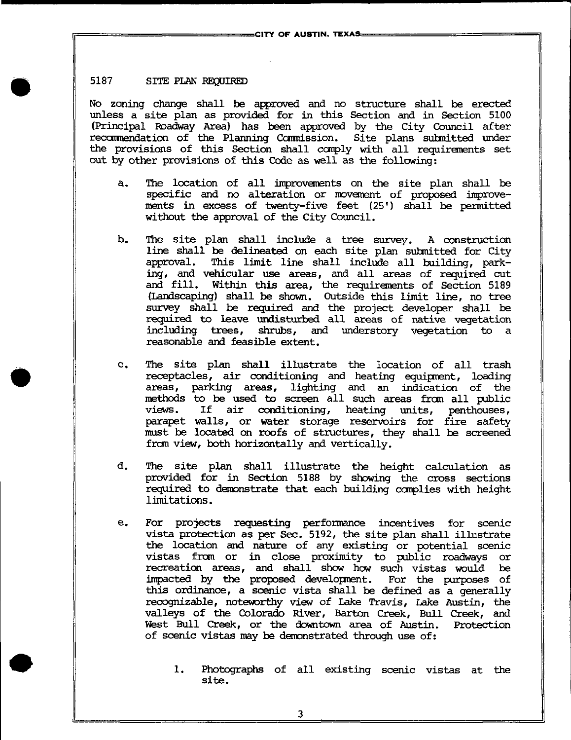## 5187 SITE PLAN REQUIRED

No zoning change shall be approved and no structure shall be erected unless a site plan as provided for in this Section and in Section 5100 (Principal Roadway Area) has been approved by the City Council after reconmendation of the Planning Commission. Site plans submitted under the provisions of this Section shall comply with all requirements set out by other provisions of this Code as well as the following:

- a. The location of all improvements on the site plan shall be specific and no alteration or movement of proposed improvements in excess of twenty-five feet (25<sup>1</sup> ) shall be permitted without the approval of the City Council.
- b. The site plan shall include a tree survey. A construction line shall be delineated on each site plan submitted for City approval. This limit line shall include all building, parking, and vehicular use areas, and all areas of required cut and fill. Within this area, the requirements of Section 5189 (Landscaping) shall be shown. Outside this limit line, no tree survey shall be required and the project developer shall be required to leave undisturbed all areas of native vegetation including trees, shrubs, and understory vegetation to a reasonable and feasible extent.
- c. The site plan shall illustrate the location of all trash receptacles, air conditioning and heating equipment, loading areas, parking areas, lighting and an indication of the methods to be used to screen all such areas from all public views. If air conditioning, heating units, penthouses, parapet walls, or water storage reservoirs for fire safety must be located on roofs of structures, they shall be screened frcm view, both horizontally and vertically.
- d. The site plan shall illustrate the height calculation as provided for in Section 5188 by showing the cross sections required to demonstrate that each building complies with height limitations.
- e. For projects requesting performance incentives for scenic vista protection as per Sec. 5192, the site plan shall illustrate the location and nature of any existing or potential scenic vistas from or in close proximity to public roadways or recreation areas, and shall show how such vistas would be impacted by the proposed development. For the purposes of this ordinance, a scenic vista shall be defined as a generally recognizable, noteworthy view of Lake Travis, Lake Austin, the valleys of the Colorado River, Barton Creek, Bull Creek, and West Bull Creek, or the downtown area of Austin. Protection of scenic vistas may be demonstrated through use of:
	- 1. Photographs of all existing scenic vistas at the site.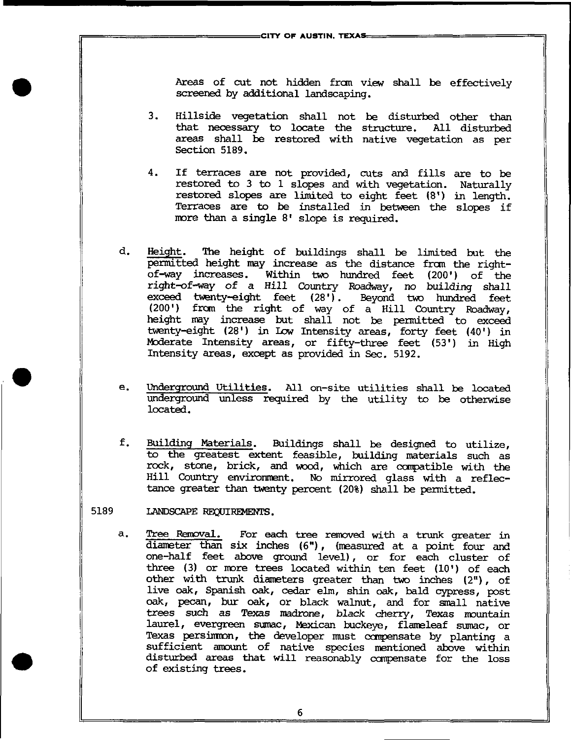Areas of cut not hidden fron view shall be effectively screened by additional landscaping.

- 3 . Hillside vegetation shall not be disturbed other than that necessary to locate the structure. All disturbed areas shall be restored with native vegetation as per Section 5189.
- 4. If terraces are not provided, cuts and fills are to be restored to 3 to 1 slopes and with vegetation. Naturally restored slopes are limited to eight feet (8<sup>1</sup>) in length. Terraces are to be installed in between the slopes if more than a single 8' slope is required.
- d. Height. The height of buildings shall be limited but the permitted height may increase as the distance fron the rightof-way increases. Within two hundred feet (200') of the right-of-way of a Hill Country Roadway, no building shall exceed twenty-eight feet  $(28')$ . Beyond two hundred feet (200 ') from the right of way of a Hill Country Roadway, height may increase but shall not be permitted to exceed twenty-eight (28<sup>'</sup>) in Low Intensity areas, forty feet (40') in Moderate Intensity areas, or fifty-three feet (53') in High Intensity areas, except as provided in Sec. 5192.
- e. Underground Utilities. All on-site utilities shall be located underground unless required by the utility to be otherwise located.
- f. Building Materials. Buildings shall be designed to utilize, to the greatest extent feasible, building materials such as rock, stone, brick, and wood, which are compatible with the Hill Country environment. No mirrored glass with a reflectance greater than twenty percent (20%) shall be permitted.

5189 LANDSCAPE REQUIREMENTS.

a. Tree Removal. For each tree removed with a trunk greater in diameter than six inches (6"), (measured at a point four and one-half feet above ground level), or for each cluster of three (3) or more trees located within ten feet (10<sup>1</sup>) of each other with trunk diameters greater than two inches  $(2<sup>n</sup>)$ , of live oak, Spanish oak, cedar elm, shin oak, bald cypress, post oak, pecan, bur oak, or black walnut, and for small native trees such as Texas madrone, black cherry, Texas mountain laurel, evergreen sumac, Mexican buckeye, flameleaf sumac, or Texas persimmon, the developer must compensate by planting a sufficient amount of native species mentioned above within disturbed areas that will reasonably compensate for the loss of existing trees.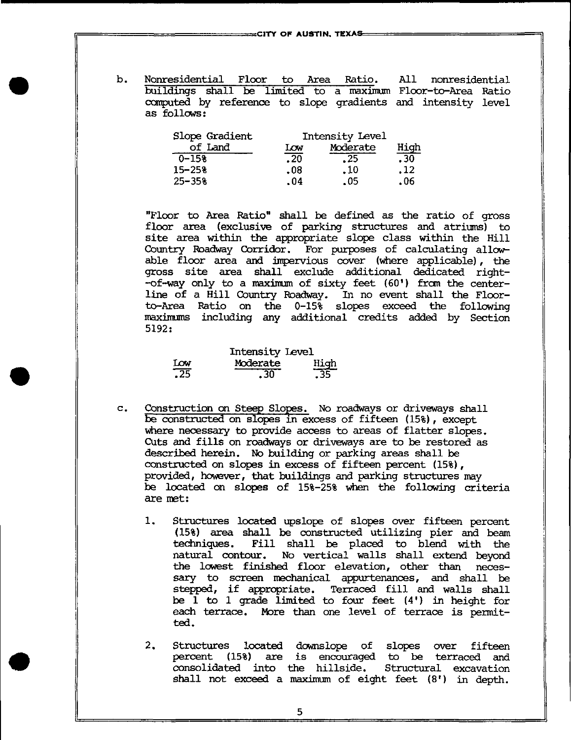CITY OF AUSTIN, TEXAS

b. Nonresidential Floor to Area Ratio. All nonresidential buildings shall be limited to a maximum Floor—to-Area Ratio computed by reference to slope gradients and intensity level as follows:

| Slope Gradient | Intensity Level  |          |      |
|----------------|------------------|----------|------|
| of Land        | Low              | Moderate | High |
| $0 - 158$      | $\overline{.20}$ | . 25     | . 30 |
| $15 - 25%$     | .08              | .10      | .12  |
| $25 - 35%$     | . 04             | . 05     | .06  |

"Floor to Area Ratio" shall be defined as the ratio of gross floor area (exclusive of parking structures and atriums) to site area within the appropriate slope class within the Hill Country Roadway Corridor. For purposes of calculating allowable floor area and impervious cover (where applicable), the gross site area shall exclude additional dedicated right- -of-way only to a maximum of sixty feet (60') from the centerline of a Hill Country Roadway. In no event shall the Floorto-Area Ratio on the 0-15% slopes exceed the following maximums including any additional credits added by Section 5192:

|                  | Intensity Level  |             |
|------------------|------------------|-------------|
| Low              | Moderate         | <u>High</u> |
| $\overline{.25}$ | .30 <sub>1</sub> | . 35        |

- c. Construction on Steep Slopes. No roadways or driveways shall be constructed on slopes in excess of fifteen (15%), except where necessary to provide access to areas of flatter slopes. Cuts and fills on roadways or driveways are to be restored as described herein. No building or parking areas shall be constructed on slopes in excess of fifteen percent (15%), provided, however, that buildings and parking structures may be located on slopes of 15%-25% when the following criteria are met:
	- 1, Structures located upslope of slopes over fifteen percent (15%) area shall be constructed utilizing pier and beam techniques. Fill shall be placed to blend with the natural contour. No vertical walls shall extend beyond the lowest finished floor elevation, other than necessary to screen mechanical appurtenances, and shall be stepped, if appropriate. Terraced fill and walls shall be 1 to 1 grade limited to four feet (4') in height for each terrace. More than one level of terrace is permitted.
	- 2, Structures located downslope of slopes over fifteen percent (15%) are is encouraged to be terraced and consolidated into the hillside. Structural excavation shall not exceed a maximum of eight feet (8') in depth.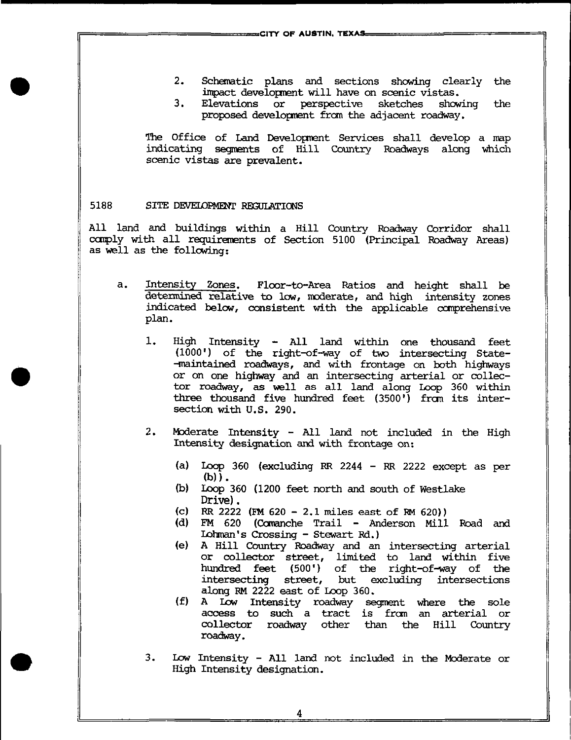- 2. Schematic plans and sections showing clearly the impact development will have on scenic vistas.
- 3. Elevations or perspective sketches showing the proposed development from the adjacent roadway.

The Office of Land Development Services shall develop a map indicating segments of Hill Country Roadways along which scenic vistas are prevalent.

## 5188 SITE DEVELOPMENT REGULATIONS

All land and buildings within a Hill Country Roadway Corridor shall comply with all requirements of Section 5100 (Principal Roadway Areas) as well as the following:

- a. Intensity Zones. Floor-to-Area Ratios and height shall be determined relative to low, moderate, and high intensity zones indicated below, consistent with the applicable comprehensive plan.
	- 1. High Intensity All land within one thousand feet (1000') of the right-of-way of two intersecting State- -maintained roadways, and with frontage on both highways or on one highway and an intersecting arterial or collector roadway, as well as all land along Loop 360 within three thousand five hundred feet (3500') from its intersection with U.S. 290.
	- 2. Moderate Intensity All land not included in the High Intensity designation and with frontage on:
		- (a) Loop 360 (excluding RR 2244 RR 2222 except as per (b)).
		- (b) Loop 360 (1200 feet north and south of Westlake Drive).
		- (c) RR 2222 (FM 620 2.1 miles east of RM 620))
		- (d) FM 620 (Comanche Trail Anderson Mill Road and Lehman's Crossing - Stewart Rd.)
		- (e) A Hill Country Roadway and an intersecting arterial or collector street, limited to land within five hundred feet (500') of the right-of-way of the intersecting street, but excluding intersections along RM 2222 east of Loop 360.
		- (f) A Low Intensity roadway segment where the sole access to such a tract is from an arterial or collector roadway other than the Hill Country roadway.
	- 3. Low Intensity All land not included in the Moderate or High Intensity designation.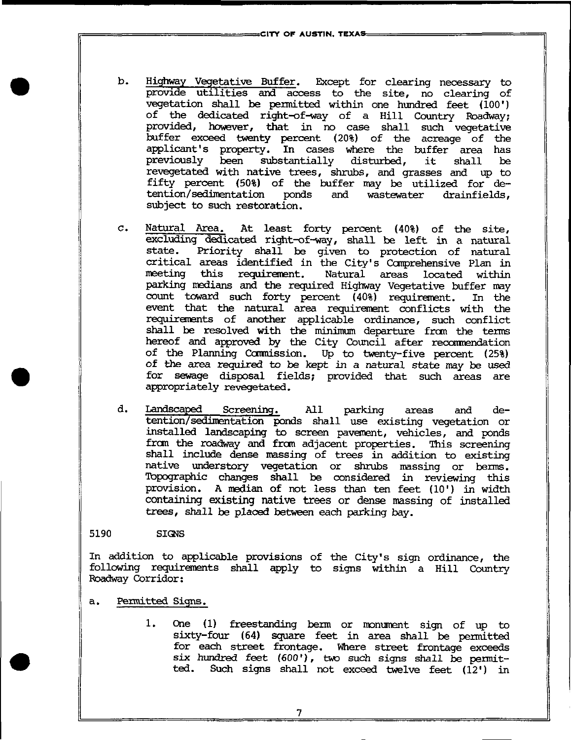- b. Highway Vegetative Buffer. Except for clearing necessary to provide utilities and access to the site, no clearing of vegetation shall be permitted within one hundred feet  $(100')$ of the dedicated right-of-way of a Hill Country Roadway; provided, however, that in no case shall such vegetative buffer exceed twenty percent (20%) of the acreage of the applicant's property. In cases where the buffer area has previously been substantially disturbed, it shall be revegetated with native trees, shrubs, and grasses and up to fifty percent (50%) of the buffer may be utilized for de-<br>tention/sedimentation ponds and wastewater drainfields. tention/sedimentation ponds and wastewater drainfields, subject to such restoration.
- c. Natural Area. At least forty percent (40%) of the site, excluding dedicated right-of-way, shall be left in a natural state. Priority shall be given to protection of natural critical areas identified in the City's Comprehensive Plan in meeting this requirement. Natural areas located within parking medians and the required Highway Vegetative buffer may count toward such forty percent (40%) requirement. In the event that the natural area requirement conflicts with the requirements of another applicable ordinance, such conflict shall be resolved with the minimum departure from the terms hereof and approved by the City Council after recommendation of the Planning Ccmmission. Up to twenty-five percent (25%) of the area required to be kept in a natural state may be used for sewage disposal fields; provided that such areas are appropriately revegetated.
- d. Landscaped Screening. All parking areas and detention/sedimentation ponds shall use existing vegetation or installed landscaping to screen pavement, vehicles, and ponds from the roadway and fron adjacent properties. This screening shall include dense massing of trees in addition to existing native understory vegetation or shrubs massing or berms. Topographic changes shall be considered in reviewing this provision. A median of not less than ten feet (10') in width containing existing native trees or dense massing of installed trees, shall be placed between each parking bay.

5190 SIGNS

In addition to applicable provisions of the City's sign ordinance, the following requirements shall apply to signs within a Hill Country Roadway Corridor:

- a. Permitted Signs.
	- 1. One (1) freestanding berm or monument sign of up to sixty-four (64) square feet in area shall be permitted for each street frontage. Where street frontage exceeds six hundred feet (600'), two such signs shall be permitted. Such signs shall not exceed twelve feet (12') in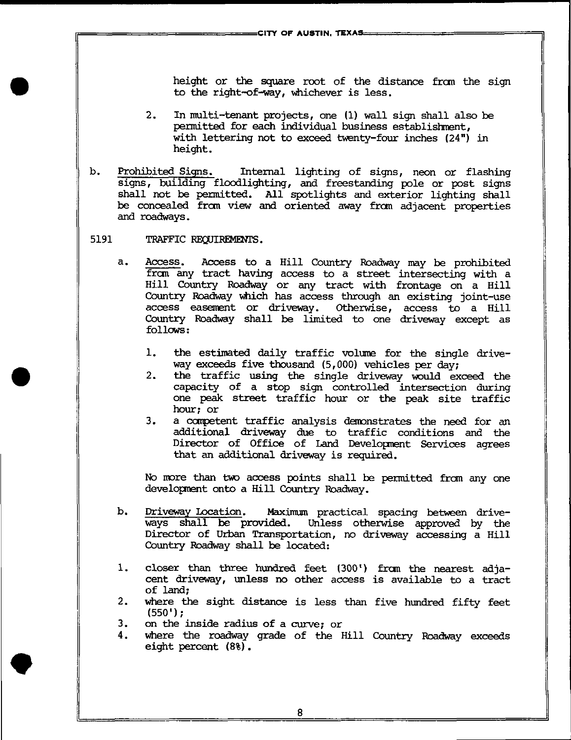height or the square root of the distance from the sign to the right-of-way, whichever is less.

- 2. In multi-tenant projects, one (1) wall sign shall also be permitted for each individual business establishment, with lettering not to exceed twenty-four inches (24") in height.
- b. Prohibited Signs. Internal lighting of signs, neon or flashing signs, building floodlighting, and freestanding pole or post signs shall not be permitted. All spotlights and exterior lighting shall be concealed from view and oriented away from adjacent properties and roadways.

### 5191 TRAFFIC REQUIREMENTS.

- a. Access. Access to a Hill Country Roadway may be prohibited from any tract having access to a street intersecting with a Hill Country Roadway or any tract with frontage on a Hill Country Roadway which has access through an existing joint-use access easement or driveway. Otherwise, access to a Hill Country Roadway shall be limited to one driveway except as follows:
	- 1. the estimated daily traffic volume for the single driveway exceeds five thousand (5,000) vehicles per day;
	- 2. the traffic using the single driveway would exceed the capacity of a stop sign controlled intersection during one peak street traffic hour or the peak site traffic hour; or
	- 3. a competent traffic analysis demonstrates the need for an additional driveway due to traffic conditions and the Director of Office of Land Development Services agrees that an additional driveway is required.

No more than two access points shall be permitted from any one development onto a Hill Country Roadway.

- b. Driveway Location, Maximum practical spacing between driveways shall be provided. Unless otherwise approved by the Director of Urban Transportation, no driveway accessing a Hill Country Roadway shall be located:
- 1. closer than three hundred feet (300<sup>1</sup>) from the nearest adjacent driveway, unless no other access is available to a tract of land;
- 2. where the sight distance is less than five hundred fifty feet  $(550')$ ;
- 3. on the inside radius of a curve; or
- 4. where the roadway grade of the Hill Country Roadway exceeds eight percent (8%).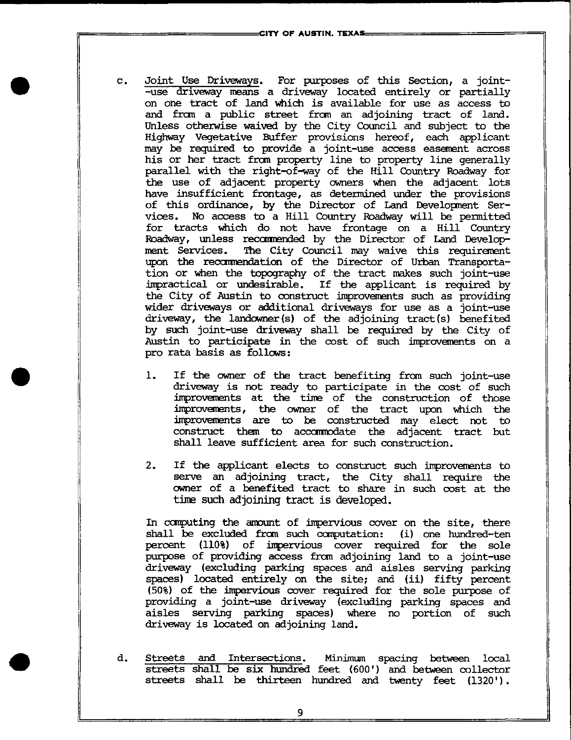- c. Joint Use Driveways. For purposes of this Section, a joint- -use driveway means a driveway located entirely or partially on one tract of land which is available for use as access to and from a public street from an adjoining tract of land. Unless otherwise waived by the City Council and subject to the Highway Vegetative Buffer provisions hereof, each applicant may be required to provide a joint-use access easement across his or her tract from property line to property line generally parallel with the right-of-way of the Hill Country Roadway for the use of adjacent property owners when the adjacent lots have insufficient frontage, as determined under the provisions of this ordinance, by the Director of Land Development Services. No access to a Hill Country Roadway will be permitted for tracts which do not have frontage on a Hill Country Roadway, unless recommended by the Director of Land Development Services. The City Council may waive this requirement upon the recommendation of the Director of Urban Transportation or when the topography of the tract makes such joint-use impractical or undesirable. If the applicant is required by the City of Austin to construct improvements such as providing wider driveways or additional driveways for use as a joint-use driveway, the landowner(s) of the adjoining tract(s) benefited by such joint-use driveway shall be required by the City of Austin to participate in the cost of such improvements on a pro rata basis as follows:
	- 1. If the owner of the tract benefiting from such joint-use driveway is not ready to participate in the cost of such improvements at the time of the construction of those improvements, the owner of the tract upon which the improvements are to be constructed may elect not to construct them to accommodate the adjacent tract but shall leave sufficient area for such construction.
	- 2. If the applicant elects to construct such improvements to serve an adjoining tract, the City shall require the owner of a benefited tract to share in such cost at the time such adjoining tract is developed.

In conputing the amount of impervious cover on the site, there shall be excluded from such computation: (i) one hundred-ten percent (110%) of impervious cover required for the sole purpose of providing access from adjoining land to a joint-use driveway (excluding parking spaces and aisles serving parking spaces) located entirely on the site; and (ii) fifty percent (50%) of the impervious cover required for the sole purpose of providing a joint-use driveway (excluding parking spaces and aisles serving parking spaces) where no portion of such driveway is located on adjoining land.

d. Streets and Intersections. Minimum spacing between local streets shall be six hundred feet (600') and between collector streets shall be thirteen hundred and twenty feet (1320').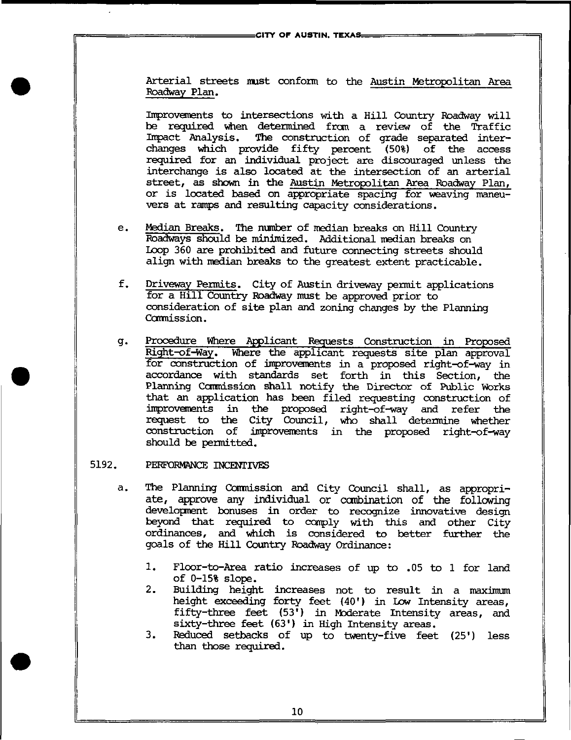Arterial streets must conform to the Austin Metropolitan Area Roadway Plan.

Improvements to intersections with a Hill Country Roadway will be required when determined from a review of the Traffic Impact Analysis, The construction of grade separated interchanges which provide fifty percent (50%) of the access required for an individual project are discouraged unless the interchange is also located at the intersection of an arterial street, as shown in the Austin Metropolitan Area Roadway Plan, or is located based on appropriate spacing for weaving maneuvers at ramps and resulting capacity considerations.

- e. Median Breaks. The number of median breaks on Hill Country Roadways should be minimized. Additional median breaks on loop 360 are prohibited and future connecting streets should align with median breaks to the greatest extent practicable.
- f. Driveway Permits. City of Austin driveway permit applications for a Hill Country Roadway must be approved prior to consideration of site plan and zoning changes by the Planning Commission.
- g. Procedure Where Applicant Requests Construction in Proposed Right-of-Way. Where the applicant requests site plan approval for construction of improvements in a proposed right-of-way in accordance with standards set forth in this Section, the Planning Conmission shall notify the Director of Public Works that an application has been filed requesting construction of improvements in the proposed right-of-way and refer the request to the City Council, who shall determine whether construction of improvements in the proposed right-of-way should be permitted.

## 5192. PERFORMANCE INCENTIVES

- a. The Planning Commission and City Council shall, as appropriate, approve any individual or combination of the following development bonuses in order to recognize innovative design beyond that required to comply with this and other City ordinances, and which is considered to better further the goals of the Hill Country Roadway Ordinance:
	- 1. Floor-to-Area ratio increases of up to .05 to 1 for land of 0-15% slope.
	- 2. Building height increases not to result in a maximum height exceeding forty feet (40') in Low Intensity areas, fifty-three feet (53') in Moderate Intensity areas, and sixty-three feet (63') in High Intensity areas.
	- 3. Reduced setbacks of up to twenty-five feet (25<sup>1</sup>) less than those required.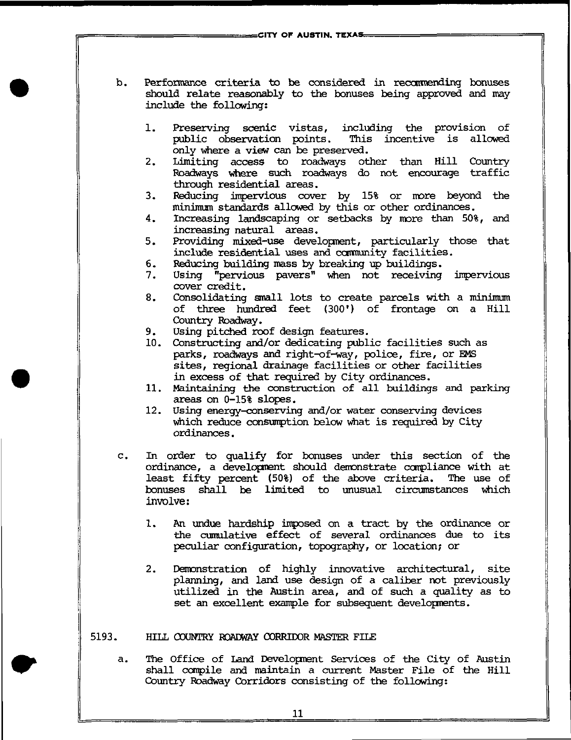- b. Performance criteria to be considered in recommending bonuses should relate reasonably to the bonuses being approved and may include the following:
	- 1. Preserving scenic vistas, including the provision of public observation points. This incentive is allowed only where a view can be preserved.
	- 2. Limiting access to roadways other than Hill Country Roadways where such roadways do not encourage traffic through residential areas.
	- 3. Reducing impervious cover by 15% or more beyond the minimum standards allowed by this or other ordinances.
	- 4. Increasing landscaping or setbacks by more than 50%, and increasing natural areas.
	- 5. Providing mixed-use development, particularly those that include residential uses and community facilities.
	- 6. Reducing building mass by breaking up buildings.
	- 7. Using "pervious pavers" when not receiving impervious cover credit.
	- 8. Consolidating small lots to create parcels with a minimum of three hundred feet (300') of frontage on a Hill Country Roadway.
	- 9. Using pitched roof design features.
	- 10. Constructing and/or dedicating public facilities such as parks, roadways and right-of-way, police, fire, or EMS sites, regional drainage facilities or other facilities in excess of that required by City ordinances.
	- 11. Maintaining the construction of all buildings and parking areas on 0-15% slopes.
	- 12. Using energy-conserving and/or water conserving devices which reduce consumption below what is required by City ordinances.
- c. In order to qualify for bonuses under this section of the ordinance, a development should demonstrate compliance with at least fifty percent (50%) of the above criteria. The use of bonuses shall be limited to unusual circumstances which involve:
	- 1. An undue hardship imposed on a tract by the ordinance or the cumulative effect of several ordinances due to its peculiar configuration, topography, or location; or
	- 2. Demonstration of highly innovative architectural, site planning, and land use design of a caliber not previously utilized in the Austin area, and of such a quality as to set an excellent example for subsequent developments.

# 5193. HILL COUNTRY ROADWAY CORRIDOR MASTER FILE

a. The Office of Land Development Services of the City of Austin shall compile and maintain a current Master File of the Hill Country Roadway Corridors consisting of the following: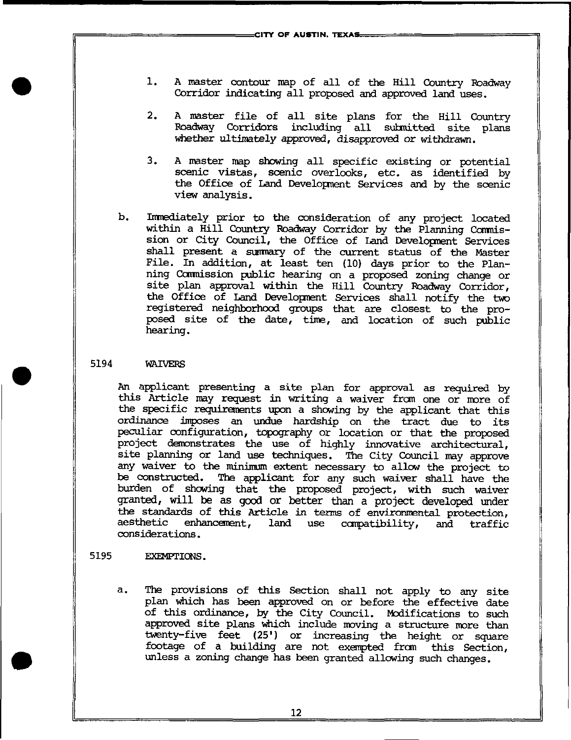- 1. A master contour map of all of the Hill Country Roadway Corridor indicating all proposed and approved land uses.
- 2. A master file of all site plans for the Hill Country Roadway Corridors including all submitted site plans whether ultimately approved, disapproved or withdrawn.
- 3. A master map showing all specific existing or potential scenic vistas, scenic overlooks, etc. as identified by the Office of Land Development Services and by the scenic view analysis.
- b. Immediately prior to the consideration of any project located within a Hill Country Roadway Corridor by the Planning Commission or City Council, the Office of Land Development Services shall present a summary of the current status of the Master File. In addition, at least ten (10) days prior to the Planning Commission public hearing on a proposed zoning change or site plan approval within the Hill Country Roadway Corridor, the Office of Land Developnent Services shall notify the two registered neighborhood groups that are closest to the proposed site of the date, time, and location of such public hearing.

# 5194 WAIVERS

An applicant presenting a site plan for approval as required by this Article may request in writing a waiver from one or more of the specific requirements upon a showing by the applicant that this ordinance imposes an undue hardship on the tract due to its peculiar configuration, topography or location or that the proposed project demonstrates the use of highly innovative architectural, site planning or land use techniques. The City Council may approve any waiver to the minimum extent necessary to allow the project to be constructed. The applicant for any such waiver shall have the burden of showing that the proposed project, with such waiver granted, will be as good or better than a project developed under the standards of this Article in terms of environmental protection, aesthetic enhancement, land use compatibility, and traffic considerations.

# 5195 EXEMPTIONS.

a. The provisions of this Section shall not apply to any site plan which has been approved on or before the effective date of this ordinance, by the City Council. Modifications to such approved site plans which include moving a structure more than twenty-five feet (25') or increasing the height or square footage of a building are not exempted from this Section, unless a zoning change has been granted allowing such changes.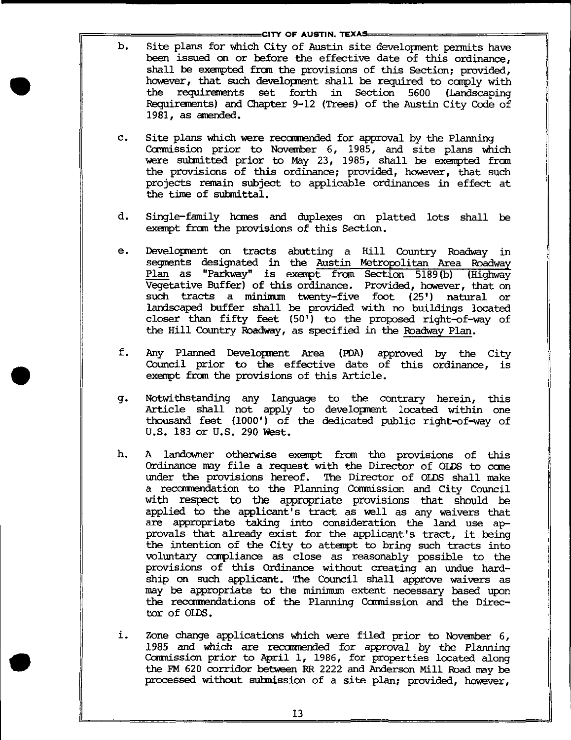| b.             | Site plans for which City of Austin site development permits have<br>been issued on or before the effective date of this ordinance,<br>shall be exempted from the provisions of this Section; provided,<br>however, that such development shall be required to comply with<br>the requirements set forth in Section 5600 (Landscaping<br>Requirements) and Chapter 9-12 (Trees) of the Austin City Code of<br>1981, as amended.                                                                                                                                                                                                                                                                                                                                                                                                                                                                                                            |
|----------------|--------------------------------------------------------------------------------------------------------------------------------------------------------------------------------------------------------------------------------------------------------------------------------------------------------------------------------------------------------------------------------------------------------------------------------------------------------------------------------------------------------------------------------------------------------------------------------------------------------------------------------------------------------------------------------------------------------------------------------------------------------------------------------------------------------------------------------------------------------------------------------------------------------------------------------------------|
| $\mathbf{c}$ . | Site plans which were recommended for approval by the Planning<br>Commission prior to November 6, 1985, and site plans which<br>were submitted prior to May 23, 1985, shall be exempted from<br>the provisions of this ordinance; provided, however, that such<br>projects remain subject to applicable ordinances in effect at<br>the time of submittal.                                                                                                                                                                                                                                                                                                                                                                                                                                                                                                                                                                                  |
| d.             | Single-family homes and duplexes on platted lots shall be<br>exempt from the provisions of this Section.                                                                                                                                                                                                                                                                                                                                                                                                                                                                                                                                                                                                                                                                                                                                                                                                                                   |
| e.             | Development on tracts abutting a Hill Country Roadway in<br>segments designated in the Austin Metropolitan Area Roadway<br>Plan as "Parkway" is exempt from Section 5189(b) (Highway<br>Vegetative Buffer) of this ordinance. Provided, however, that on<br>such tracts a minimum twenty-five foot (25') natural or<br>landscaped buffer shall be provided with no buildings located<br>closer than fifty feet (50') to the proposed right-of-way of<br>the Hill Country Roadway, as specified in the Roadway Plan.                                                                                                                                                                                                                                                                                                                                                                                                                        |
| f.             | Any Planned Development Area (PDA) approved by the City<br>Council prior to the effective date of this ordinance, is<br>exempt from the provisions of this Article.                                                                                                                                                                                                                                                                                                                                                                                                                                                                                                                                                                                                                                                                                                                                                                        |
| g.             | Notwithstanding any language to the contrary herein, this<br>Article shall not apply to development located within one<br>thousand feet (1000') of the dedicated public right-of-way of<br>U.S. 183 or U.S. 290 West.                                                                                                                                                                                                                                                                                                                                                                                                                                                                                                                                                                                                                                                                                                                      |
| h.             | A landowner otherwise exempt from the provisions of this<br>Ordinance may file a request with the Director of OLDS to come<br>under the provisions hereof. The Director of OLDS shall make<br>a recommendation to the Planning Commission and City Council<br>with respect to the appropriate provisions that should be<br>applied to the applicant's tract as well as any waivers that<br>are appropriate taking into consideration the land use ap-<br>provals that already exist for the applicant's tract, it being<br>the intention of the City to attempt to bring such tracts into<br>voluntary compliance as close as reasonably possible to the<br>provisions of this Ordinance without creating an undue hard-<br>ship on such applicant. The Council shall approve waivers as<br>may be appropriate to the minimum extent necessary based upon<br>the recommendations of the Planning Commission and the Direc-<br>tor of OLDS. |
| i.             | Zone change applications which were filed prior to November 6,<br>1985 and which are recommended for approval by the Planning<br>Commission prior to April 1, 1986, for properties located along                                                                                                                                                                                                                                                                                                                                                                                                                                                                                                                                                                                                                                                                                                                                           |

=CITY OF AUSTIN. TEXAS

13

the PM 620 corridor between RR 2222 and Anderson Mill Road may be processed without submission of a site plan; provided, however,